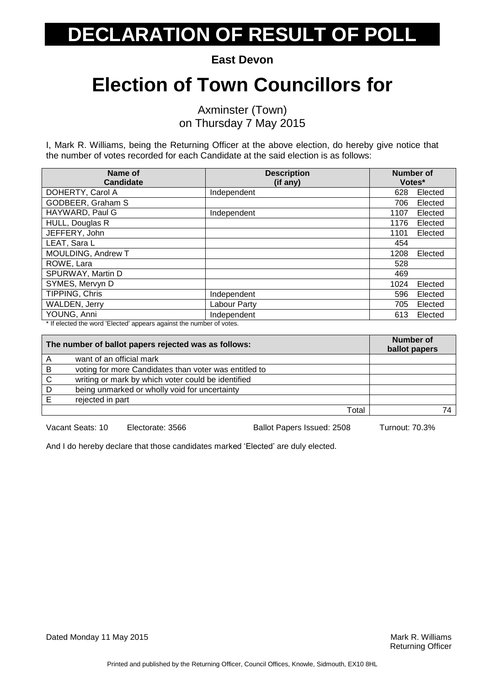**East Devon**

### **Election of Town Councillors for**

Axminster (Town) on Thursday 7 May 2015

I, Mark R. Williams, being the Returning Officer at the above election, do hereby give notice that the number of votes recorded for each Candidate at the said election is as follows:

| Name of<br><b>Candidate</b> | <b>Description</b><br>(if any) | <b>Number of</b><br>Votes* |         |
|-----------------------------|--------------------------------|----------------------------|---------|
| DOHERTY, Carol A            | Independent                    | 628                        | Elected |
| GODBEER, Graham S           |                                | 706                        | Elected |
| HAYWARD, Paul G             | Independent                    | 1107                       | Elected |
| HULL, Douglas R             |                                | 1176                       | Elected |
| JEFFERY, John               |                                | 1101                       | Elected |
| LEAT, Sara L                |                                | 454                        |         |
| MOULDING, Andrew T          |                                | 1208                       | Elected |
| ROWE, Lara                  |                                | 528                        |         |
| SPURWAY, Martin D           |                                | 469                        |         |
| SYMES, Mervyn D             |                                | 1024                       | Elected |
| TIPPING, Chris              | Independent                    | 596                        | Elected |
| <b>WALDEN, Jerry</b>        | Labour Party                   | 705                        | Elected |
| YOUNG, Anni                 | Independent                    | 613                        | Elected |

\* If elected the word 'Elected' appears against the number of votes.

| The number of ballot papers rejected was as follows: |                                                       | <b>Number of</b><br>ballot papers |  |
|------------------------------------------------------|-------------------------------------------------------|-----------------------------------|--|
| A                                                    | want of an official mark                              |                                   |  |
| В                                                    | voting for more Candidates than voter was entitled to |                                   |  |
| C                                                    | writing or mark by which voter could be identified    |                                   |  |
| D                                                    | being unmarked or wholly void for uncertainty         |                                   |  |
|                                                      | rejected in part                                      |                                   |  |
|                                                      |                                                       | Total                             |  |

Vacant Seats: 10 Electorate: 3566 Ballot Papers Issued: 2508 Turnout: 70.3%

And I do hereby declare that those candidates marked 'Elected' are duly elected.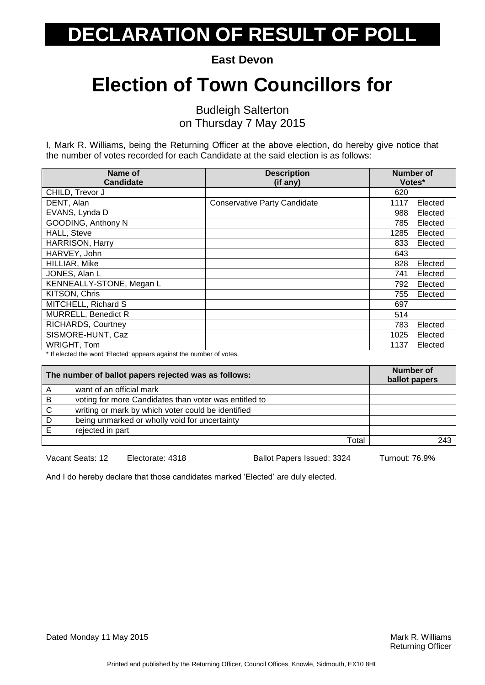**East Devon**

### **Election of Town Councillors for**

Budleigh Salterton on Thursday 7 May 2015

I, Mark R. Williams, being the Returning Officer at the above election, do hereby give notice that the number of votes recorded for each Candidate at the said election is as follows:

| Name of                    | <b>Description</b>                  | Number of |         |
|----------------------------|-------------------------------------|-----------|---------|
| <b>Candidate</b>           | (if any)                            | Votes*    |         |
| CHILD, Trevor J            |                                     | 620       |         |
| DENT, Alan                 | <b>Conservative Party Candidate</b> | 1117      | Elected |
| EVANS, Lynda D             |                                     | 988       | Elected |
| GOODING, Anthony N         |                                     | 785       | Elected |
| HALL, Steve                |                                     | 1285      | Elected |
| <b>HARRISON, Harry</b>     |                                     | 833       | Elected |
| HARVEY, John               |                                     | 643       |         |
| HILLIAR, Mike              |                                     | 828       | Elected |
| JONES, Alan L              |                                     | 741       | Elected |
| KENNEALLY-STONE, Megan L   |                                     | 792       | Elected |
| KITSON, Chris              |                                     | 755       | Elected |
| MITCHELL, Richard S        |                                     | 697       |         |
| <b>MURRELL, Benedict R</b> |                                     | 514       |         |
| RICHARDS, Courtney         |                                     | 783       | Elected |
| SISMORE-HUNT, Caz          |                                     | 1025      | Elected |
| WRIGHT, Tom                |                                     | 1137      | Elected |

\* If elected the word 'Elected' appears against the number of votes.

| The number of ballot papers rejected was as follows: |                                                       | Number of<br>ballot papers |
|------------------------------------------------------|-------------------------------------------------------|----------------------------|
|                                                      | want of an official mark                              |                            |
| В                                                    | voting for more Candidates than voter was entitled to |                            |
| C                                                    | writing or mark by which voter could be identified    |                            |
| D                                                    | being unmarked or wholly void for uncertainty         |                            |
|                                                      | rejected in part                                      |                            |
|                                                      | Total                                                 | 243                        |

Vacant Seats: 12 Electorate: 4318 Ballot Papers Issued: 3324 Turnout: 76.9%

And I do hereby declare that those candidates marked 'Elected' are duly elected.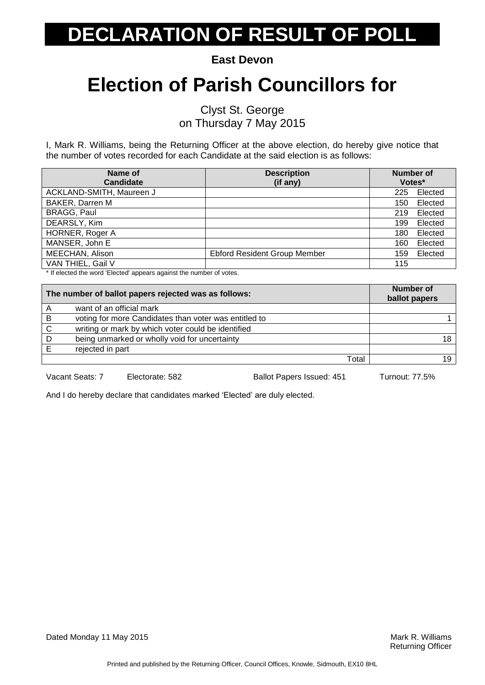**East Devon**

### **Election of Parish Councillors for**

Clyst St. George on Thursday 7 May 2015

I, Mark R. Williams, being the Returning Officer at the above election, do hereby give notice that the number of votes recorded for each Candidate at the said election is as follows:

| Name of                  | <b>Description</b>                  | <b>Number of</b> |
|--------------------------|-------------------------------------|------------------|
| <b>Candidate</b>         | (if any)                            | Votes*           |
| ACKLAND-SMITH, Maureen J |                                     | Elected<br>225   |
| <b>BAKER, Darren M</b>   |                                     | Elected<br>150   |
| <b>BRAGG, Paul</b>       |                                     | Elected<br>219   |
| DEARSLY, Kim             |                                     | Elected<br>199   |
| HORNER, Roger A          |                                     | Elected<br>180   |
| MANSER, John E           |                                     | Elected<br>160   |
| MEECHAN, Alison          | <b>Ebford Resident Group Member</b> | Elected<br>159   |
| VAN THIEL, Gail V        |                                     | 115              |

\* If elected the word 'Elected' appears against the number of votes.

|   | The number of ballot papers rejected was as follows:  | Number of<br>ballot papers |
|---|-------------------------------------------------------|----------------------------|
| A | want of an official mark                              |                            |
| B | voting for more Candidates than voter was entitled to |                            |
| C | writing or mark by which voter could be identified    |                            |
|   | being unmarked or wholly void for uncertainty         |                            |
|   | rejected in part                                      |                            |
|   | Total                                                 | 19                         |
|   |                                                       |                            |

Vacant Seats: 7 Electorate: 582 Ballot Papers Issued: 451 Turnout: 77.5%

And I do hereby declare that candidates marked 'Elected' are duly elected.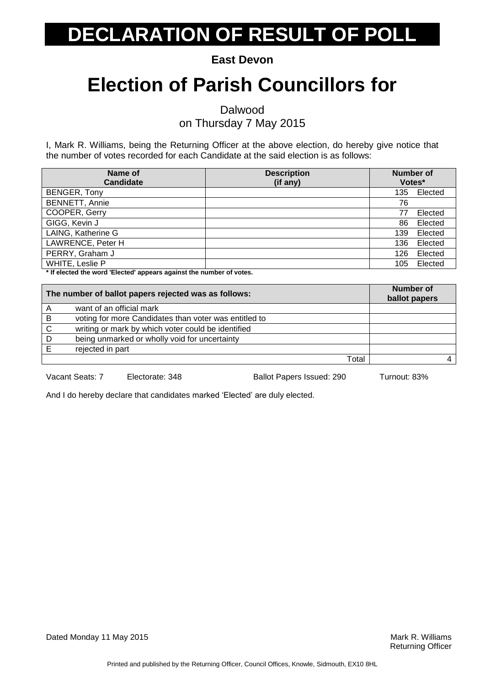**East Devon**

### **Election of Parish Councillors for**

Dalwood

on Thursday 7 May 2015

I, Mark R. Williams, being the Returning Officer at the above election, do hereby give notice that the number of votes recorded for each Candidate at the said election is as follows:

| Name of<br><b>Candidate</b> | <b>Description</b><br>(if any) | <b>Number of</b> | Votes*  |
|-----------------------------|--------------------------------|------------------|---------|
| BENGER, Tony                |                                | 135              | Elected |
| <b>BENNETT, Annie</b>       |                                | 76               |         |
| COOPER, Gerry               |                                |                  | Elected |
| GIGG, Kevin J               |                                | 86               | Elected |
| LAING, Katherine G          |                                | 139              | Elected |
| LAWRENCE, Peter H           |                                | 136              | Elected |
| PERRY, Graham J             |                                | 126              | Elected |
| WHITE, Leslie P             |                                | 105              | Elected |

**\* If elected the word 'Elected' appears against the number of votes.**

|              | The number of ballot papers rejected was as follows:  | <b>Number of</b><br>ballot papers |
|--------------|-------------------------------------------------------|-----------------------------------|
| A            | want of an official mark                              |                                   |
| B            | voting for more Candidates than voter was entitled to |                                   |
| $\mathsf{C}$ | writing or mark by which voter could be identified    |                                   |
| D.           | being unmarked or wholly void for uncertainty         |                                   |
|              | rejected in part                                      |                                   |
|              | Total                                                 |                                   |
|              |                                                       |                                   |

Vacant Seats: 7 Electorate: 348 Ballot Papers Issued: 290 Turnout: 83%

And I do hereby declare that candidates marked 'Elected' are duly elected.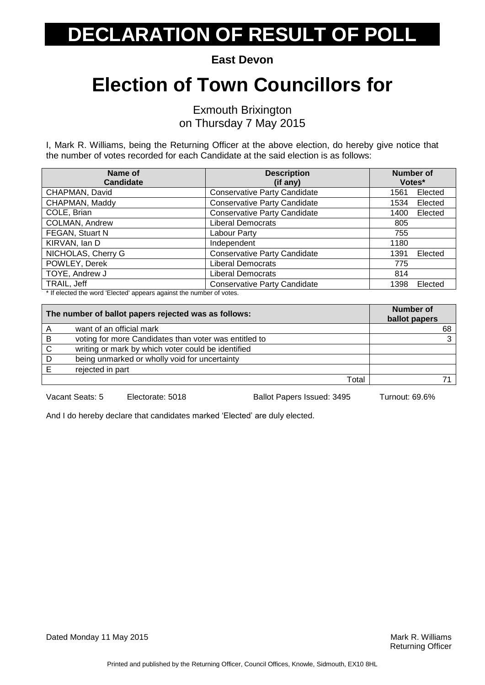**East Devon**

### **Election of Town Councillors for**

Exmouth Brixington on Thursday 7 May 2015

I, Mark R. Williams, being the Returning Officer at the above election, do hereby give notice that the number of votes recorded for each Candidate at the said election is as follows:

| Name of<br><b>Candidate</b> | <b>Description</b><br>(if any)      | <b>Number of</b><br>Votes* |         |
|-----------------------------|-------------------------------------|----------------------------|---------|
| CHAPMAN, David              | <b>Conservative Party Candidate</b> | 1561                       | Elected |
| CHAPMAN, Maddy              | <b>Conservative Party Candidate</b> | 1534                       | Elected |
| COLE, Brian                 | <b>Conservative Party Candidate</b> | 1400                       | Elected |
| COLMAN, Andrew              | <b>Liberal Democrats</b>            | 805                        |         |
| FEGAN, Stuart N             | Labour Party                        | 755                        |         |
| KIRVAN, Ian D               | Independent                         | 1180                       |         |
| NICHOLAS, Cherry G          | <b>Conservative Party Candidate</b> | 1391                       | Elected |
| POWLEY, Derek               | <b>Liberal Democrats</b>            | 775                        |         |
| TOYE, Andrew J              | <b>Liberal Democrats</b>            | 814                        |         |
| TRAIL, Jeff                 | <b>Conservative Party Candidate</b> | 1398                       | Elected |

\* If elected the word 'Elected' appears against the number of votes.

|              | The number of ballot papers rejected was as follows:  | Number of<br>ballot papers |
|--------------|-------------------------------------------------------|----------------------------|
| A            | want of an official mark                              | 68                         |
| B            | voting for more Candidates than voter was entitled to | 3                          |
| $\mathsf{C}$ | writing or mark by which voter could be identified    |                            |
| D            | being unmarked or wholly void for uncertainty         |                            |
|              | rejected in part                                      |                            |
|              | Total                                                 |                            |
|              |                                                       |                            |

Vacant Seats: 5 Electorate: 5018 Ballot Papers Issued: 3495 Turnout: 69.6%

And I do hereby declare that candidates marked 'Elected' are duly elected.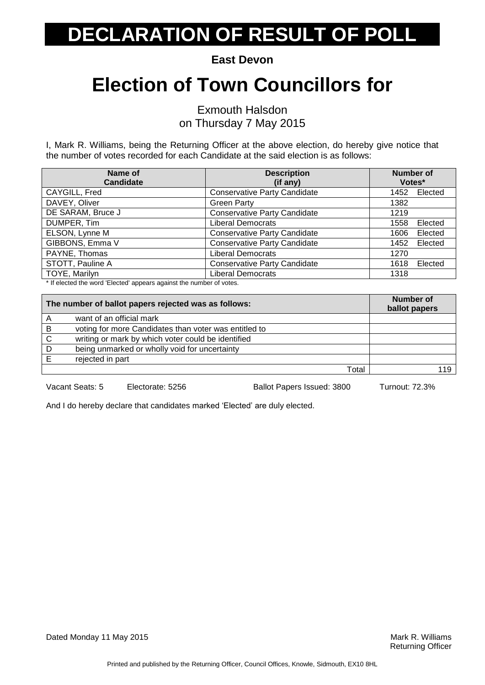**East Devon**

### **Election of Town Councillors for**

Exmouth Halsdon on Thursday 7 May 2015

I, Mark R. Williams, being the Returning Officer at the above election, do hereby give notice that the number of votes recorded for each Candidate at the said election is as follows:

| Name of<br><b>Candidate</b>                                                                                                                                                                                 | <b>Description</b><br>(if any)      | <b>Number of</b><br>Votes* |
|-------------------------------------------------------------------------------------------------------------------------------------------------------------------------------------------------------------|-------------------------------------|----------------------------|
| CAYGILL, Fred                                                                                                                                                                                               | <b>Conservative Party Candidate</b> | Elected<br>1452            |
| DAVEY, Oliver                                                                                                                                                                                               | <b>Green Party</b>                  | 1382                       |
| DE SARAM, Bruce J                                                                                                                                                                                           | <b>Conservative Party Candidate</b> | 1219                       |
| DUMPER, Tim                                                                                                                                                                                                 | <b>Liberal Democrats</b>            | Elected<br>1558            |
| ELSON, Lynne M                                                                                                                                                                                              | <b>Conservative Party Candidate</b> | Elected<br>1606            |
| GIBBONS, Emma V                                                                                                                                                                                             | <b>Conservative Party Candidate</b> | 1452<br>Elected            |
| PAYNE, Thomas                                                                                                                                                                                               | <b>Liberal Democrats</b>            | 1270                       |
| STOTT, Pauline A                                                                                                                                                                                            | <b>Conservative Party Candidate</b> | Elected<br>1618            |
| TOYE, Marilyn<br>$\mathbf{a}$ , $\mathbf{a}$ , $\mathbf{a}$ , $\mathbf{a}$ , $\mathbf{a}$ , $\mathbf{a}$ , $\mathbf{a}$ , $\mathbf{a}$ , $\mathbf{a}$ , $\mathbf{a}$<br>$\cdots$<br>$\cdot$ $\cdot$ $\cdot$ | <b>Liberal Democrats</b>            | 1318                       |

If elected the word 'Elected' appears against the number of votes.

| The number of ballot papers rejected was as follows: |                                                       | <b>Number of</b><br>ballot papers |
|------------------------------------------------------|-------------------------------------------------------|-----------------------------------|
|                                                      | want of an official mark                              |                                   |
| B                                                    | voting for more Candidates than voter was entitled to |                                   |
| $\mathsf{C}$                                         | writing or mark by which voter could be identified    |                                   |
| D                                                    | being unmarked or wholly void for uncertainty         |                                   |
|                                                      | rejected in part                                      |                                   |
|                                                      | Total                                                 | 119                               |

Vacant Seats: 5 Electorate: 5256 Ballot Papers Issued: 3800 Turnout: 72.3%

And I do hereby declare that candidates marked 'Elected' are duly elected.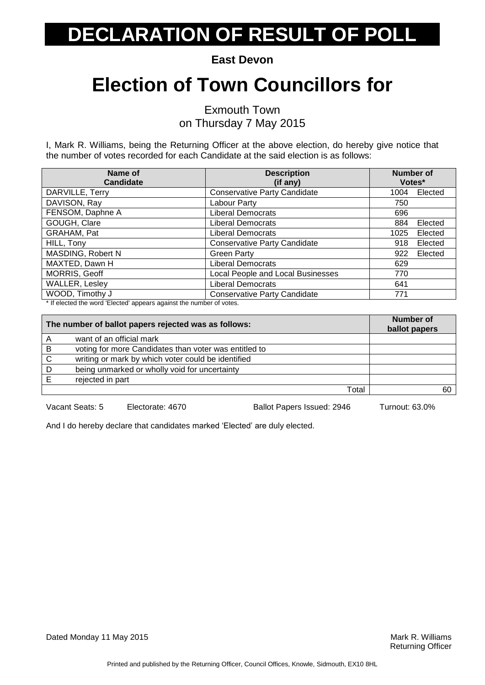**East Devon**

### **Election of Town Councillors for**

Exmouth Town on Thursday 7 May 2015

I, Mark R. Williams, being the Returning Officer at the above election, do hereby give notice that the number of votes recorded for each Candidate at the said election is as follows:

| Name of<br><b>Candidate</b>                                                                                                                                                                                                                                                                                                                                           | <b>Description</b><br>(if any)      | <b>Number of</b><br>Votes* |         |
|-----------------------------------------------------------------------------------------------------------------------------------------------------------------------------------------------------------------------------------------------------------------------------------------------------------------------------------------------------------------------|-------------------------------------|----------------------------|---------|
| DARVILLE, Terry                                                                                                                                                                                                                                                                                                                                                       | <b>Conservative Party Candidate</b> | 1004                       | Elected |
| DAVISON, Ray                                                                                                                                                                                                                                                                                                                                                          | Labour Party                        | 750                        |         |
| FENSOM, Daphne A                                                                                                                                                                                                                                                                                                                                                      | <b>Liberal Democrats</b>            | 696                        |         |
| GOUGH, Clare                                                                                                                                                                                                                                                                                                                                                          | Liberal Democrats                   | 884                        | Elected |
| GRAHAM, Pat                                                                                                                                                                                                                                                                                                                                                           | Liberal Democrats                   | 1025                       | Elected |
| HILL, Tony                                                                                                                                                                                                                                                                                                                                                            | <b>Conservative Party Candidate</b> | 918                        | Elected |
| MASDING, Robert N                                                                                                                                                                                                                                                                                                                                                     | <b>Green Party</b>                  | 922                        | Elected |
| MAXTED, Dawn H                                                                                                                                                                                                                                                                                                                                                        | <b>Liberal Democrats</b>            | 629                        |         |
| MORRIS, Geoff                                                                                                                                                                                                                                                                                                                                                         | Local People and Local Businesses   | 770                        |         |
| WALLER, Lesley                                                                                                                                                                                                                                                                                                                                                        | <b>Liberal Democrats</b>            | 641                        |         |
| WOOD, Timothy J<br>$\cdots$<br>$\cdot$ $\cdot$ $\cdot$<br>$\mathbf{a}$ , $\mathbf{a}$ , $\mathbf{a}$ , $\mathbf{a}$ , $\mathbf{a}$ , $\mathbf{a}$ , $\mathbf{a}$ , $\mathbf{a}$ , $\mathbf{a}$ , $\mathbf{a}$ , $\mathbf{a}$ , $\mathbf{a}$ , $\mathbf{a}$ , $\mathbf{a}$ , $\mathbf{a}$ , $\mathbf{a}$ , $\mathbf{a}$ , $\mathbf{a}$ , $\mathbf{a}$ , $\mathbf{a}$ , | <b>Conservative Party Candidate</b> | 771                        |         |

\* If elected the word 'Elected' appears against the number of votes.

| The number of ballot papers rejected was as follows: |                                                       | <b>Number of</b><br>ballot papers |
|------------------------------------------------------|-------------------------------------------------------|-----------------------------------|
| A                                                    | want of an official mark                              |                                   |
| B                                                    | voting for more Candidates than voter was entitled to |                                   |
| $\mathsf{C}$                                         | writing or mark by which voter could be identified    |                                   |
| D                                                    | being unmarked or wholly void for uncertainty         |                                   |
| F                                                    | rejected in part                                      |                                   |
|                                                      | Total                                                 | 60                                |

Vacant Seats: 5 Electorate: 4670 Ballot Papers Issued: 2946 Turnout: 63.0%

And I do hereby declare that candidates marked 'Elected' are duly elected.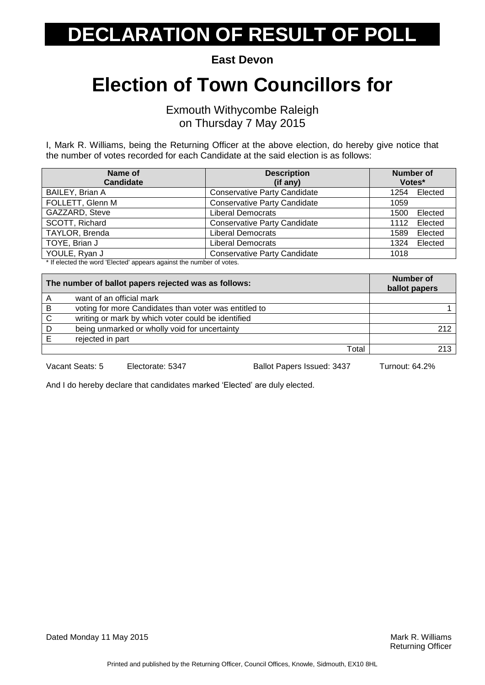**East Devon**

#### **Election of Town Councillors for**

Exmouth Withycombe Raleigh on Thursday 7 May 2015

I, Mark R. Williams, being the Returning Officer at the above election, do hereby give notice that the number of votes recorded for each Candidate at the said election is as follows:

| Name of<br><b>Candidate</b> | <b>Description</b><br>(if any)      | Number of<br>Votes* |
|-----------------------------|-------------------------------------|---------------------|
| BAILEY, Brian A             | <b>Conservative Party Candidate</b> | Elected<br>1254     |
| FOLLETT, Glenn M            | <b>Conservative Party Candidate</b> | 1059                |
| GAZZARD, Steve              | <b>Liberal Democrats</b>            | Elected<br>1500     |
| SCOTT, Richard              | <b>Conservative Party Candidate</b> | Elected<br>1112     |
| TAYLOR, Brenda              | <b>Liberal Democrats</b>            | Elected<br>1589     |
| TOYE, Brian J               | <b>Liberal Democrats</b>            | Elected<br>1324     |
| YOULE, Ryan J               | <b>Conservative Party Candidate</b> | 1018                |

\* If elected the word 'Elected' appears against the number of votes.

| The number of ballot papers rejected was as follows: |                                                       | <b>Number of</b><br>ballot papers |
|------------------------------------------------------|-------------------------------------------------------|-----------------------------------|
| A                                                    | want of an official mark                              |                                   |
| B                                                    | voting for more Candidates than voter was entitled to |                                   |
| C                                                    | writing or mark by which voter could be identified    |                                   |
| D                                                    | being unmarked or wholly void for uncertainty         | 212                               |
|                                                      | rejected in part                                      |                                   |
|                                                      | Total                                                 | 213                               |

Vacant Seats: 5 Electorate: 5347 Ballot Papers Issued: 3437 Turnout: 64.2%

And I do hereby declare that candidates marked 'Elected' are duly elected.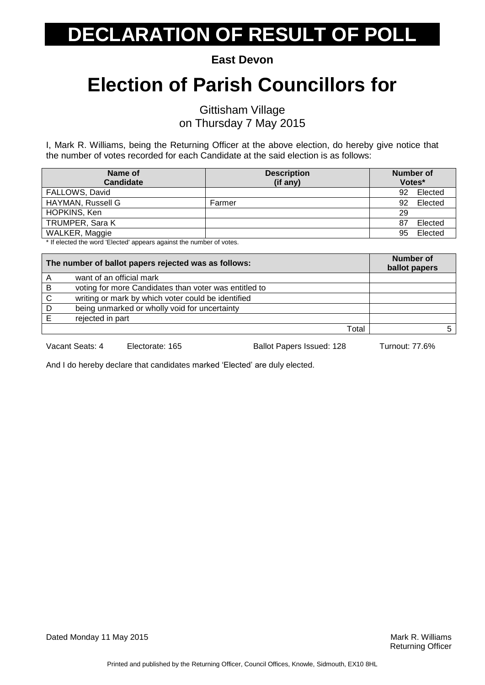**East Devon**

### **Election of Parish Councillors for**

Gittisham Village on Thursday 7 May 2015

I, Mark R. Williams, being the Returning Officer at the above election, do hereby give notice that the number of votes recorded for each Candidate at the said election is as follows:

| Name of                                                             | <b>Description</b> | <b>Number of</b> |
|---------------------------------------------------------------------|--------------------|------------------|
| <b>Candidate</b>                                                    | (if any)           | Votes*           |
| FALLOWS, David                                                      |                    | Elected<br>92.   |
| HAYMAN, Russell G                                                   | Farmer             | Elected<br>92    |
| HOPKINS, Ken                                                        |                    | 29               |
| <b>TRUMPER, Sara K</b>                                              |                    | Elected<br>87    |
| WALKER, Maggie                                                      |                    | Elected<br>95    |
| * If algoted the werd 'Elected' oppears against the number of vetop |                    |                  |

If elected the word 'Elected' appears against the number of votes.

| The number of ballot papers rejected was as follows: |                                                       | <b>Number of</b><br>ballot papers |
|------------------------------------------------------|-------------------------------------------------------|-----------------------------------|
| Α                                                    | want of an official mark                              |                                   |
| B                                                    | voting for more Candidates than voter was entitled to |                                   |
| C                                                    | writing or mark by which voter could be identified    |                                   |
| D                                                    | being unmarked or wholly void for uncertainty         |                                   |
|                                                      | rejected in part                                      |                                   |
|                                                      | Total                                                 |                                   |

Vacant Seats: 4 Electorate: 165 Ballot Papers Issued: 128 Turnout: 77.6%

And I do hereby declare that candidates marked 'Elected' are duly elected.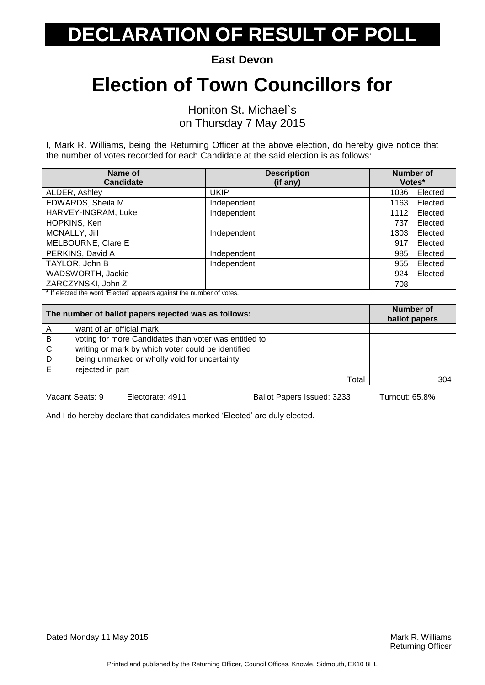**East Devon**

### **Election of Town Councillors for**

Honiton St. Michael`s on Thursday 7 May 2015

I, Mark R. Williams, being the Returning Officer at the above election, do hereby give notice that the number of votes recorded for each Candidate at the said election is as follows:

| Name of<br><b>Candidate</b> | <b>Description</b><br>(if any) | <b>Number of</b><br>Votes* |         |
|-----------------------------|--------------------------------|----------------------------|---------|
| ALDER, Ashley               | <b>UKIP</b>                    | 1036                       | Elected |
| EDWARDS, Sheila M           | Independent                    | 1163                       | Elected |
| HARVEY-INGRAM, Luke         | Independent                    | 1112                       | Elected |
| HOPKINS, Ken                |                                | 737                        | Elected |
| MCNALLY, Jill               | Independent                    | 1303                       | Elected |
| MELBOURNE, Clare E          |                                | 917                        | Elected |
| PERKINS, David A            | Independent                    | 985                        | Elected |
| TAYLOR, John B              | Independent                    | 955                        | Elected |
| WADSWORTH, Jackie           |                                | 924                        | Elected |
| ZARCZYNSKI, John Z          |                                | 708                        |         |

\* If elected the word 'Elected' appears against the number of votes.

| The number of ballot papers rejected was as follows: |                                                       | <b>Number of</b><br>ballot papers |
|------------------------------------------------------|-------------------------------------------------------|-----------------------------------|
|                                                      | want of an official mark                              |                                   |
| B                                                    | voting for more Candidates than voter was entitled to |                                   |
| $\mathsf{C}$                                         | writing or mark by which voter could be identified    |                                   |
| D                                                    | being unmarked or wholly void for uncertainty         |                                   |
| F                                                    | rejected in part                                      |                                   |
|                                                      | Total                                                 | 9∩∆                               |
|                                                      |                                                       |                                   |

Vacant Seats: 9 Electorate: 4911 Ballot Papers Issued: 3233 Turnout: 65.8%

And I do hereby declare that candidates marked 'Elected' are duly elected.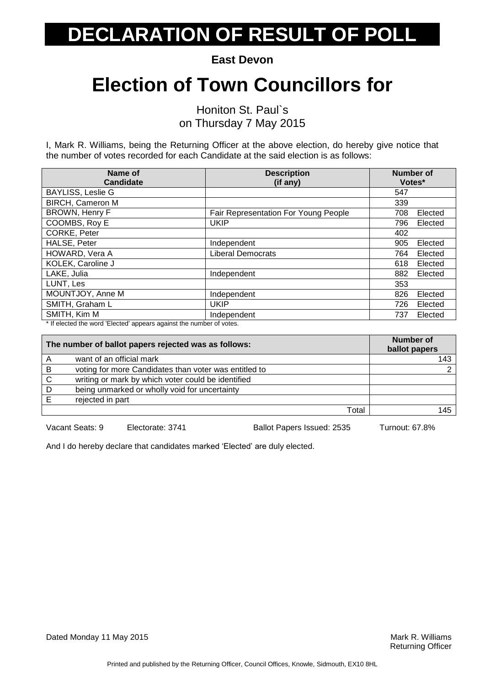**East Devon**

### **Election of Town Councillors for**

Honiton St. Paul`s on Thursday 7 May 2015

I, Mark R. Williams, being the Returning Officer at the above election, do hereby give notice that the number of votes recorded for each Candidate at the said election is as follows:

| Name of<br><b>Candidate</b> | <b>Description</b><br>(if any)       | <b>Number of</b><br>Votes* |
|-----------------------------|--------------------------------------|----------------------------|
| <b>BAYLISS, Leslie G</b>    |                                      | 547                        |
| <b>BIRCH, Cameron M</b>     |                                      | 339                        |
| <b>BROWN, Henry F</b>       | Fair Representation For Young People | 708<br>Elected             |
| COOMBS, Roy E               | <b>UKIP</b>                          | Elected<br>796             |
| CORKE, Peter                |                                      | 402                        |
| HALSE, Peter                | Independent                          | Elected<br>905             |
| HOWARD, Vera A              | <b>Liberal Democrats</b>             | 764<br>Elected             |
| KOLEK, Caroline J           |                                      | 618<br>Elected             |
| LAKE, Julia                 | Independent                          | Elected<br>882             |
| LUNT, Les                   |                                      | 353                        |
| MOUNTJOY, Anne M            | Independent                          | 826<br>Elected             |
| SMITH, Graham L             | <b>UKIP</b>                          | 726<br>Elected             |
| SMITH, Kim M                | Independent                          | 737<br>Elected             |

\* If elected the word 'Elected' appears against the number of votes.

| The number of ballot papers rejected was as follows: |                                                       | <b>Number of</b><br>ballot papers |     |
|------------------------------------------------------|-------------------------------------------------------|-----------------------------------|-----|
| A                                                    | want of an official mark                              |                                   | 143 |
| В                                                    | voting for more Candidates than voter was entitled to |                                   |     |
| C                                                    | writing or mark by which voter could be identified    |                                   |     |
| D                                                    | being unmarked or wholly void for uncertainty         |                                   |     |
|                                                      | rejected in part                                      |                                   |     |
|                                                      |                                                       | Total                             | 145 |

Vacant Seats: 9 Electorate: 3741 Ballot Papers Issued: 2535 Turnout: 67.8%

And I do hereby declare that candidates marked 'Elected' are duly elected.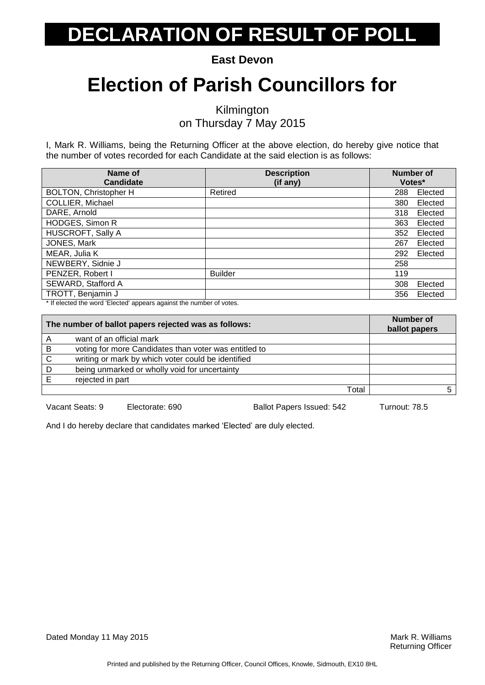**East Devon**

### **Election of Parish Councillors for**

Kilmington on Thursday 7 May 2015

I, Mark R. Williams, being the Returning Officer at the above election, do hereby give notice that the number of votes recorded for each Candidate at the said election is as follows:

| <b>Description</b> | <b>Number of</b>    |               |
|--------------------|---------------------|---------------|
|                    |                     |               |
|                    |                     | Elected       |
|                    | 380                 | Elected       |
|                    | 318                 | Elected       |
|                    | 363                 | Elected       |
|                    | 352                 | Elected       |
|                    | 267                 | Elected       |
|                    | 292                 | Elected       |
|                    | 258                 |               |
| <b>Builder</b>     | 119                 |               |
|                    | 308                 | Elected       |
|                    | 356                 | Elected       |
|                    | (if any)<br>Retired | Votes*<br>288 |

\* If elected the word 'Elected' appears against the number of votes.

| The number of ballot papers rejected was as follows: |                                                       | Number of<br>ballot papers |
|------------------------------------------------------|-------------------------------------------------------|----------------------------|
|                                                      | want of an official mark                              |                            |
| B                                                    | voting for more Candidates than voter was entitled to |                            |
| C                                                    | writing or mark by which voter could be identified    |                            |
| D                                                    | being unmarked or wholly void for uncertainty         |                            |
|                                                      | rejected in part                                      |                            |
|                                                      | Total                                                 |                            |

Vacant Seats: 9 Electorate: 690 Ballot Papers Issued: 542 Turnout: 78.5

And I do hereby declare that candidates marked 'Elected' are duly elected.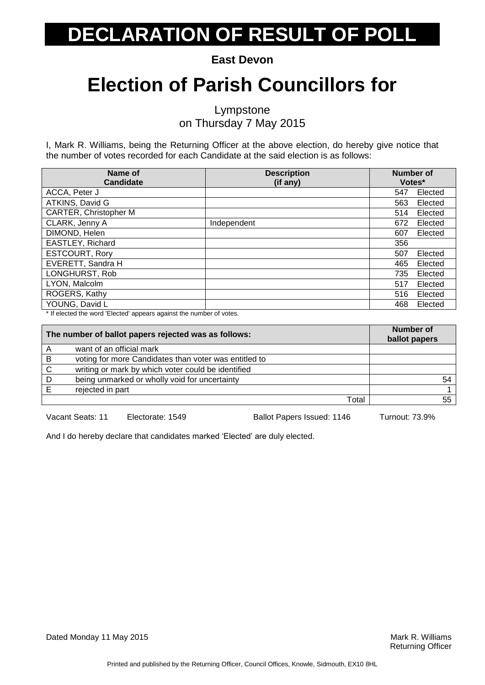**East Devon**

### **Election of Parish Councillors for**

Lympstone on Thursday 7 May 2015

I, Mark R. Williams, being the Returning Officer at the above election, do hereby give notice that the number of votes recorded for each Candidate at the said election is as follows:

| Name of                      | <b>Description</b> | <b>Number of</b> |         |
|------------------------------|--------------------|------------------|---------|
| <b>Candidate</b>             | (if any)           | Votes*           |         |
| ACCA, Peter J                |                    | 547              | Elected |
| ATKINS, David G              |                    | 563              | Elected |
| <b>CARTER, Christopher M</b> |                    | 514              | Elected |
| CLARK, Jenny A               | Independent        | 672              | Elected |
| DIMOND, Helen                |                    | 607              | Elected |
| EASTLEY, Richard             |                    | 356              |         |
| <b>ESTCOURT, Rory</b>        |                    | 507              | Elected |
| EVERETT, Sandra H            |                    | 465              | Elected |
| LONGHURST, Rob               |                    | 735              | Elected |
| LYON, Malcolm                |                    | 517              | Elected |
| ROGERS, Kathy                |                    | 516              | Elected |
| YOUNG, David L               |                    | 468              | Elected |

\* If elected the word 'Elected' appears against the number of votes.

| The number of ballot papers rejected was as follows: |                                                       | Number of<br>ballot papers |
|------------------------------------------------------|-------------------------------------------------------|----------------------------|
| Α                                                    | want of an official mark                              |                            |
| B                                                    | voting for more Candidates than voter was entitled to |                            |
| C                                                    | writing or mark by which voter could be identified    |                            |
| D                                                    | being unmarked or wholly void for uncertainty         | 54                         |
|                                                      | rejected in part                                      |                            |
|                                                      | Total                                                 | 55                         |

Vacant Seats: 11 Electorate: 1549 Ballot Papers Issued: 1146 Turnout: 73.9%

And I do hereby declare that candidates marked 'Elected' are duly elected.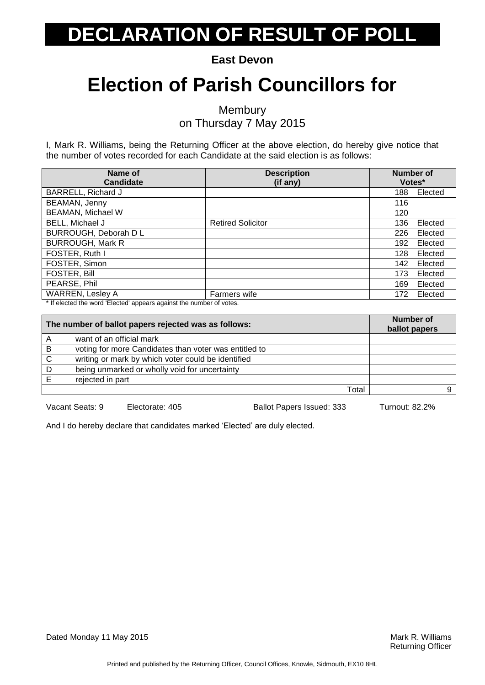**East Devon**

### **Election of Parish Councillors for**

**Membury** on Thursday 7 May 2015

I, Mark R. Williams, being the Returning Officer at the above election, do hereby give notice that the number of votes recorded for each Candidate at the said election is as follows:

| Name of<br><b>Candidate</b> | <b>Description</b><br>(if any) | <b>Number of</b><br>Votes* |  |
|-----------------------------|--------------------------------|----------------------------|--|
| BARRELL, Richard J          |                                | 188<br>Elected             |  |
| BEAMAN, Jenny               |                                | 116                        |  |
| <b>BEAMAN, Michael W</b>    |                                | 120                        |  |
| BELL, Michael J             | <b>Retired Solicitor</b>       | 136<br>Elected             |  |
| BURROUGH, Deborah D L       |                                | Elected<br>226             |  |
| <b>BURROUGH, Mark R</b>     |                                | 192<br>Elected             |  |
| FOSTER, Ruth I              |                                | 128<br>Elected             |  |
| FOSTER, Simon               |                                | 142<br>Elected             |  |
| <b>FOSTER, Bill</b>         |                                | 173<br>Elected             |  |
| PEARSE, Phil                |                                | 169<br>Elected             |  |
| <b>WARREN, Lesley A</b>     | Farmers wife                   | Elected<br>172             |  |

\* If elected the word 'Elected' appears against the number of votes.

| The number of ballot papers rejected was as follows: |                                                       | <b>Number of</b><br>ballot papers |
|------------------------------------------------------|-------------------------------------------------------|-----------------------------------|
|                                                      | want of an official mark                              |                                   |
| B                                                    | voting for more Candidates than voter was entitled to |                                   |
| C                                                    | writing or mark by which voter could be identified    |                                   |
| D                                                    | being unmarked or wholly void for uncertainty         |                                   |
| F                                                    | rejected in part                                      |                                   |
|                                                      | Total                                                 |                                   |

Vacant Seats: 9 Electorate: 405 Ballot Papers Issued: 333 Turnout: 82.2%

And I do hereby declare that candidates marked 'Elected' are duly elected.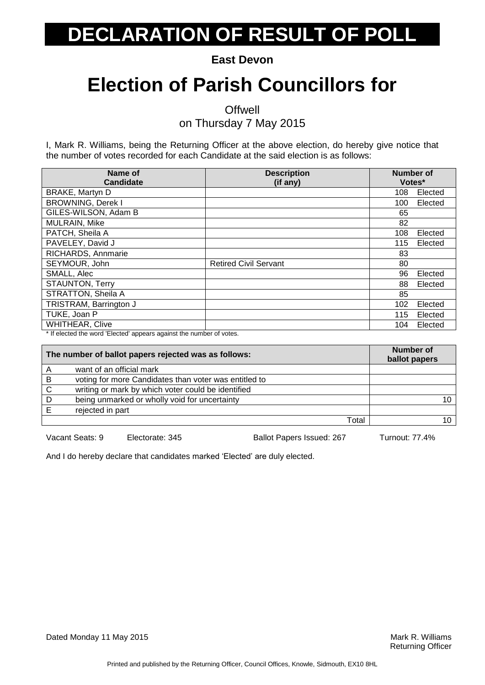**East Devon**

### **Election of Parish Councillors for**

**Offwell** 

on Thursday 7 May 2015

I, Mark R. Williams, being the Returning Officer at the above election, do hereby give notice that the number of votes recorded for each Candidate at the said election is as follows:

| Name of<br>Candidate     | <b>Description</b><br>(if any) | <b>Number of</b><br>Votes* |         |
|--------------------------|--------------------------------|----------------------------|---------|
| BRAKE, Martyn D          |                                | 108                        | Elected |
| <b>BROWNING, Derek I</b> |                                | 100                        | Elected |
| GILES-WILSON, Adam B     |                                | 65                         |         |
| MULRAIN, Mike            |                                | 82                         |         |
| PATCH, Sheila A          |                                | 108                        | Elected |
| PAVELEY, David J         |                                | 115                        | Elected |
| RICHARDS, Annmarie       |                                | 83                         |         |
| SEYMOUR, John            | <b>Retired Civil Servant</b>   | 80                         |         |
| SMALL, Alec              |                                | 96                         | Elected |
| <b>STAUNTON, Terry</b>   |                                | 88                         | Elected |
| STRATTON, Sheila A       |                                | 85                         |         |
| TRISTRAM, Barrington J   |                                | 102                        | Elected |
| TUKE, Joan P             |                                | 115                        | Elected |
| <b>WHITHEAR, Clive</b>   |                                | 104                        | Elected |

\* If elected the word 'Elected' appears against the number of votes.

| The number of ballot papers rejected was as follows: |                                                       | <b>Number of</b><br>ballot papers |
|------------------------------------------------------|-------------------------------------------------------|-----------------------------------|
|                                                      | want of an official mark                              |                                   |
| B                                                    | voting for more Candidates than voter was entitled to |                                   |
| C                                                    | writing or mark by which voter could be identified    |                                   |
| D                                                    | being unmarked or wholly void for uncertainty         |                                   |
|                                                      | rejected in part                                      |                                   |
|                                                      | Total                                                 |                                   |

Vacant Seats: 9 Electorate: 345 Ballot Papers Issued: 267 Turnout: 77.4%

And I do hereby declare that candidates marked 'Elected' are duly elected.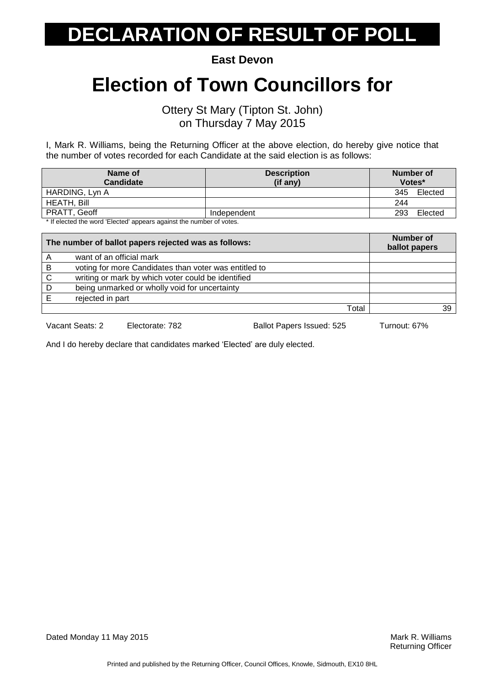**East Devon**

#### **Election of Town Councillors for**

Ottery St Mary (Tipton St. John) on Thursday 7 May 2015

I, Mark R. Williams, being the Returning Officer at the above election, do hereby give notice that the number of votes recorded for each Candidate at the said election is as follows:

| Name of<br><b>Candidate</b>                                         | <b>Description</b><br>(if any) | Number of<br>Votes* |  |
|---------------------------------------------------------------------|--------------------------------|---------------------|--|
| HARDING, Lyn A                                                      |                                | 345<br>Elected      |  |
| HEATH, Bill                                                         |                                | 244                 |  |
| PRATT, Geoff                                                        | Independent                    | 293<br>Elected      |  |
| * If elected the word 'Elected' appears against the number of votes |                                |                     |  |

elected the word 'Elected' appears against the number of votes.

| The number of ballot papers rejected was as follows: |                                                       | <b>Number of</b><br>ballot papers |
|------------------------------------------------------|-------------------------------------------------------|-----------------------------------|
| A                                                    | want of an official mark                              |                                   |
| B                                                    | voting for more Candidates than voter was entitled to |                                   |
| C                                                    | writing or mark by which voter could be identified    |                                   |
| D                                                    | being unmarked or wholly void for uncertainty         |                                   |
|                                                      | rejected in part                                      |                                   |
|                                                      | Total                                                 | 39                                |

Vacant Seats: 2 Electorate: 782 Ballot Papers Issued: 525 Turnout: 67%

And I do hereby declare that candidates marked 'Elected' are duly elected.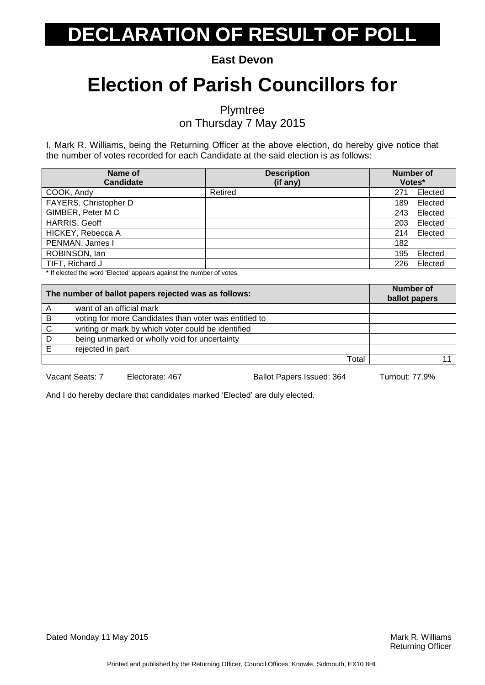**East Devon**

### **Election of Parish Councillors for**

Plymtree on Thursday 7 May 2015

I, Mark R. Williams, being the Returning Officer at the above election, do hereby give notice that the number of votes recorded for each Candidate at the said election is as follows:

| Name of<br><b>Candidate</b> | <b>Description</b><br>(if any) | <b>Number of</b><br>Votes* |         |
|-----------------------------|--------------------------------|----------------------------|---------|
| COOK, Andy                  | Retired                        | 271                        | Elected |
| FAYERS, Christopher D       |                                | 189                        | Elected |
| GIMBER, Peter M C           |                                | 243                        | Elected |
| <b>HARRIS, Geoff</b>        |                                | 203                        | Elected |
| HICKEY, Rebecca A           |                                | 214                        | Elected |
| PENMAN, James I             |                                | 182                        |         |
| ROBINSON, lan               |                                | 195                        | Elected |
| TIFT, Richard J             |                                | 226                        | Elected |

\* If elected the word 'Elected' appears against the number of votes.

|   | The number of ballot papers rejected was as follows:  | Number of<br>ballot papers |
|---|-------------------------------------------------------|----------------------------|
| A | want of an official mark                              |                            |
| B | voting for more Candidates than voter was entitled to |                            |
| C | writing or mark by which voter could be identified    |                            |
|   | being unmarked or wholly void for uncertainty         |                            |
|   | rejected in part                                      |                            |
|   | Total                                                 |                            |
|   |                                                       |                            |

Vacant Seats: 7 Electorate: 467 Ballot Papers Issued: 364 Turnout: 77.9%

And I do hereby declare that candidates marked 'Elected' are duly elected.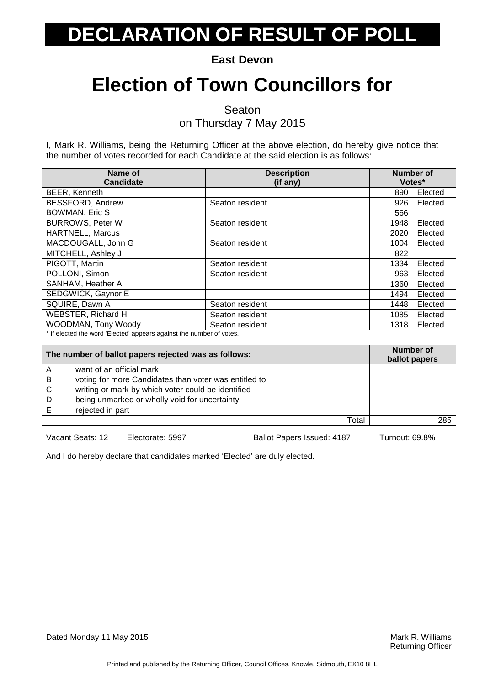**East Devon**

### **Election of Town Councillors for**

Seaton

on Thursday 7 May 2015

I, Mark R. Williams, being the Returning Officer at the above election, do hereby give notice that the number of votes recorded for each Candidate at the said election is as follows:

| Name of<br>Candidate       | <b>Description</b><br>(if any) | <b>Number of</b><br>Votes* |         |
|----------------------------|--------------------------------|----------------------------|---------|
| BEER, Kenneth              |                                | 890                        | Elected |
| <b>BESSFORD, Andrew</b>    | Seaton resident                | 926                        | Elected |
| <b>BOWMAN, Eric S</b>      |                                | 566                        |         |
| <b>BURROWS, Peter W</b>    | Seaton resident                | 1948                       | Elected |
| <b>HARTNELL, Marcus</b>    |                                | 2020                       | Elected |
| MACDOUGALL, John G         | Seaton resident                | 1004                       | Elected |
| MITCHELL, Ashley J         |                                | 822                        |         |
| PIGOTT, Martin             | Seaton resident                | 1334                       | Elected |
| POLLONI, Simon             | Seaton resident                | 963                        | Elected |
| SANHAM, Heather A          |                                | 1360                       | Elected |
| SEDGWICK, Gaynor E         |                                | 1494                       | Elected |
| SQUIRE, Dawn A             | Seaton resident                | 1448                       | Elected |
| <b>WEBSTER, Richard H</b>  | Seaton resident                | 1085                       | Elected |
| <b>WOODMAN, Tony Woody</b> | Seaton resident                | 1318                       | Elected |

\* If elected the word 'Elected' appears against the number of votes.

| The number of ballot papers rejected was as follows: |                                                       | Number of<br>ballot papers |
|------------------------------------------------------|-------------------------------------------------------|----------------------------|
| A                                                    | want of an official mark                              |                            |
| B                                                    | voting for more Candidates than voter was entitled to |                            |
| $\mathsf{C}$                                         | writing or mark by which voter could be identified    |                            |
| D                                                    | being unmarked or wholly void for uncertainty         |                            |
|                                                      | rejected in part                                      |                            |
|                                                      | Total                                                 | 285                        |

Vacant Seats: 12 Electorate: 5997 Ballot Papers Issued: 4187 Turnout: 69.8%

And I do hereby declare that candidates marked 'Elected' are duly elected.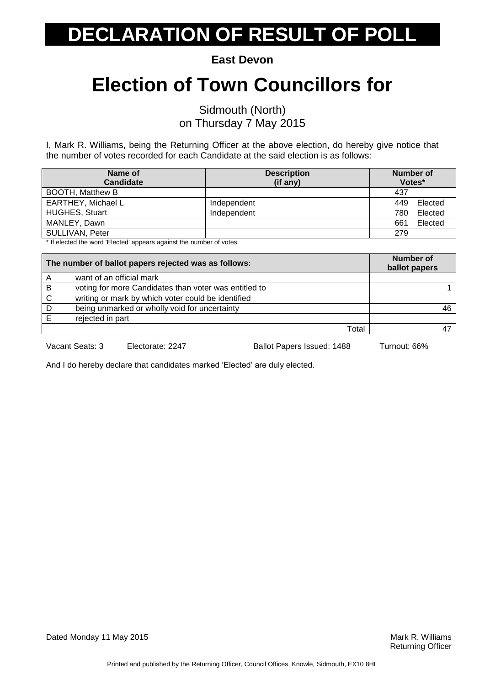**East Devon**

### **Election of Town Councillors for**

Sidmouth (North) on Thursday 7 May 2015

I, Mark R. Williams, being the Returning Officer at the above election, do hereby give notice that the number of votes recorded for each Candidate at the said election is as follows:

| Name of                                                             | <b>Description</b> | Number of      |
|---------------------------------------------------------------------|--------------------|----------------|
| <b>Candidate</b>                                                    | (if any)           | Votes*         |
| <b>BOOTH, Matthew B</b>                                             |                    | 437            |
| <b>EARTHEY, Michael L</b>                                           | Independent        | Elected<br>449 |
| <b>HUGHES, Stuart</b>                                               | Independent        | Elected<br>780 |
| MANLEY, Dawn                                                        |                    | Elected<br>661 |
| SULLIVAN, Peter                                                     |                    | 279            |
| * If algoted the werd 'Elected' oppears against the number of vetop |                    |                |

If elected the word 'Elected' appears against the number of votes.

| The number of ballot papers rejected was as follows: |                                                       | <b>Number of</b><br>ballot papers |
|------------------------------------------------------|-------------------------------------------------------|-----------------------------------|
|                                                      | want of an official mark                              |                                   |
| В                                                    | voting for more Candidates than voter was entitled to |                                   |
| C                                                    | writing or mark by which voter could be identified    |                                   |
| D                                                    | being unmarked or wholly void for uncertainty         | 46                                |
|                                                      | rejected in part                                      |                                   |
|                                                      | Total                                                 |                                   |

Vacant Seats: 3 Electorate: 2247 Ballot Papers Issued: 1488 Turnout: 66%

And I do hereby declare that candidates marked 'Elected' are duly elected.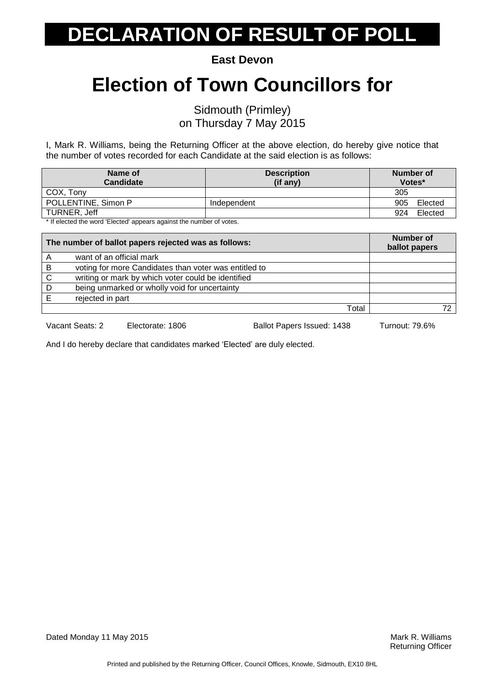**East Devon**

### **Election of Town Councillors for**

Sidmouth (Primley) on Thursday 7 May 2015

I, Mark R. Williams, being the Returning Officer at the above election, do hereby give notice that the number of votes recorded for each Candidate at the said election is as follows:

| Name of<br><b>Candidate</b>                                         | <b>Description</b><br>(if any) | Number of<br>Votes* |  |
|---------------------------------------------------------------------|--------------------------------|---------------------|--|
| COX. Tony                                                           |                                | 305                 |  |
| POLLENTINE, Simon P                                                 | Independent                    | Elected<br>905      |  |
| TURNER, Jeff                                                        |                                | Elected<br>924      |  |
| * If olected the werd 'Elected' appears against the number of veter |                                |                     |  |

If elected the word 'Elected' appears against the number of votes.

| The number of ballot papers rejected was as follows: |                                                       | <b>Number of</b><br>ballot papers |  |
|------------------------------------------------------|-------------------------------------------------------|-----------------------------------|--|
| A                                                    | want of an official mark                              |                                   |  |
| B                                                    | voting for more Candidates than voter was entitled to |                                   |  |
| $\mathsf{C}$                                         | writing or mark by which voter could be identified    |                                   |  |
| D                                                    | being unmarked or wholly void for uncertainty         |                                   |  |
|                                                      | rejected in part                                      |                                   |  |
|                                                      | Total                                                 |                                   |  |

Vacant Seats: 2 Electorate: 1806 Ballot Papers Issued: 1438 Turnout: 79.6%

And I do hereby declare that candidates marked 'Elected' are duly elected.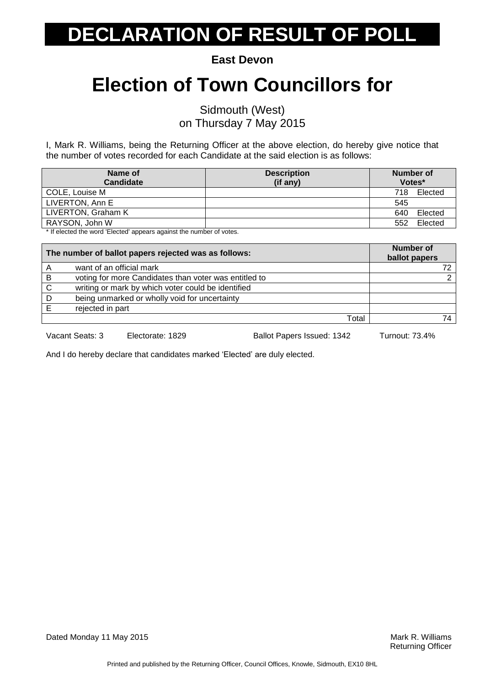**East Devon**

### **Election of Town Councillors for**

Sidmouth (West) on Thursday 7 May 2015

I, Mark R. Williams, being the Returning Officer at the above election, do hereby give notice that the number of votes recorded for each Candidate at the said election is as follows:

| Name of                                                                                    | <b>Description</b> | Number of      |
|--------------------------------------------------------------------------------------------|--------------------|----------------|
| <b>Candidate</b>                                                                           | (if any)           | Votes*         |
| COLE, Louise M                                                                             |                    | Elected<br>718 |
| LIVERTON, Ann E                                                                            |                    | 545            |
| LIVERTON, Graham K                                                                         |                    | Elected<br>640 |
| RAYSON, John W                                                                             |                    | Elected<br>552 |
| المتعقب فمروح والمسروم بمواط فمواجعته والمستحومات المستحل المسحوب ويعافله المتفقحات فالتلا |                    |                |

If elected the word 'Elected' appears against the number of votes.

| The number of ballot papers rejected was as follows: |                                                       | Number of<br>ballot papers |
|------------------------------------------------------|-------------------------------------------------------|----------------------------|
| A                                                    | want of an official mark                              |                            |
| B                                                    | voting for more Candidates than voter was entitled to |                            |
| C                                                    | writing or mark by which voter could be identified    |                            |
| D                                                    | being unmarked or wholly void for uncertainty         |                            |
|                                                      | rejected in part                                      |                            |
|                                                      | Total                                                 |                            |

Vacant Seats: 3 Electorate: 1829 Ballot Papers Issued: 1342 Turnout: 73.4%

And I do hereby declare that candidates marked 'Elected' are duly elected.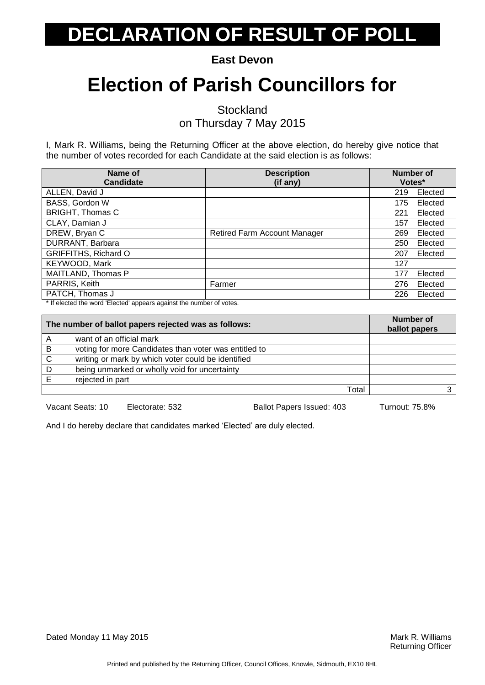**East Devon**

### **Election of Parish Councillors for**

**Stockland** 

on Thursday 7 May 2015

I, Mark R. Williams, being the Returning Officer at the above election, do hereby give notice that the number of votes recorded for each Candidate at the said election is as follows:

| Name of<br><b>Candidate</b> | <b>Description</b><br>(if any)      | <b>Number of</b><br>Votes* |         |
|-----------------------------|-------------------------------------|----------------------------|---------|
| ALLEN, David J              |                                     | 219                        | Elected |
| BASS, Gordon W              |                                     | 175                        | Elected |
| <b>BRIGHT, Thomas C</b>     |                                     | 221                        | Elected |
| CLAY, Damian J              |                                     | 157                        | Elected |
| DREW, Bryan C               | <b>Retired Farm Account Manager</b> | 269                        | Elected |
| DURRANT, Barbara            |                                     | 250                        | Elected |
| <b>GRIFFITHS, Richard O</b> |                                     | 207                        | Elected |
| KEYWOOD, Mark               |                                     | 127                        |         |
| MAITLAND, Thomas P          |                                     | 177                        | Elected |
| PARRIS, Keith               | Farmer                              | 276                        | Elected |
| PATCH, Thomas J             |                                     | 226                        | Elected |

\* If elected the word 'Elected' appears against the number of votes.

| The number of ballot papers rejected was as follows: |                                                       | Number of<br>ballot papers |  |
|------------------------------------------------------|-------------------------------------------------------|----------------------------|--|
| А                                                    | want of an official mark                              |                            |  |
| B                                                    | voting for more Candidates than voter was entitled to |                            |  |
| $\mathsf{C}$                                         | writing or mark by which voter could be identified    |                            |  |
| D                                                    | being unmarked or wholly void for uncertainty         |                            |  |
|                                                      | rejected in part                                      |                            |  |
|                                                      | Total                                                 |                            |  |

Vacant Seats: 10 Electorate: 532 Ballot Papers Issued: 403 Turnout: 75.8%

And I do hereby declare that candidates marked 'Elected' are duly elected.